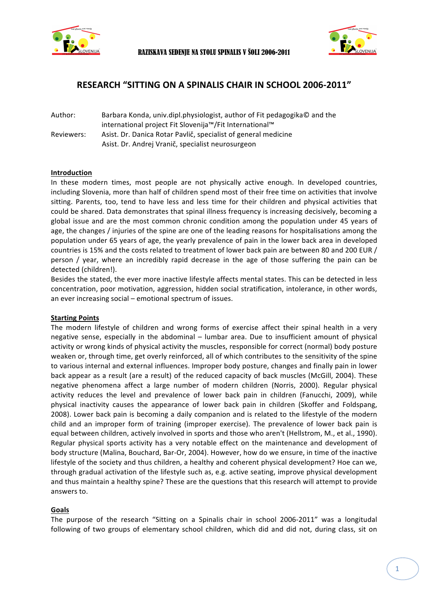



# **RESEARCH "SITTING ON A SPINALIS CHAIR IN SCHOOL 2006-2011"**

Author: Barbara Konda, univ.dipl.physiologist, author of Fit pedagogika© and the international project Fit Slovenija™/Fit International™ Reviewers: Asist. Dr. Danica Rotar Pavlič, specialist of general medicine Asist. Dr. Andrej Vranič, specialist neurosurgeon

## **Introduction**

In these modern times, most people are not physically active enough. In developed countries, including Slovenia, more than half of children spend most of their free time on activities that involve sitting. Parents, too, tend to have less and less time for their children and physical activities that could be shared. Data demonstrates that spinal illness frequency is increasing decisively, becoming a global issue and are the most common chronic condition among the population under 45 years of age, the changes / injuries of the spine are one of the leading reasons for hospitalisations among the population under 65 years of age, the yearly prevalence of pain in the lower back area in developed countries is 15% and the costs related to treatment of lower back pain are between 80 and 200 EUR / person / year, where an incredibly rapid decrease in the age of those suffering the pain can be detected (children!).

Besides the stated, the ever more inactive lifestyle affects mental states. This can be detected in less concentration, poor motivation, aggression, hidden social stratification, intolerance, in other words, an ever increasing social – emotional spectrum of issues.

## **Starting Points**

The modern lifestyle of children and wrong forms of exercise affect their spinal health in a very negative sense, especially in the abdominal  $-$  lumbar area. Due to insufficient amount of physical activity or wrong kinds of physical activity the muscles, responsible for correct (normal) body posture weaken or, through time, get overly reinforced, all of which contributes to the sensitivity of the spine to various internal and external influences. Improper body posture, changes and finally pain in lower back appear as a result (are a result) of the reduced capacity of back muscles (McGill, 2004). These negative phenomena affect a large number of modern children (Norris, 2000). Regular physical activity reduces the level and prevalence of lower back pain in children (Fanucchi, 2009), while physical inactivity causes the appearance of lower back pain in children (Skoffer and Foldspang, 2008). Lower back pain is becoming a daily companion and is related to the lifestyle of the modern child and an improper form of training (improper exercise). The prevalence of lower back pain is equal between children, actively involved in sports and those who aren't (Hellstrom, M., et al., 1990). Regular physical sports activity has a very notable effect on the maintenance and development of body structure (Malina, Bouchard, Bar-Or, 2004). However, how do we ensure, in time of the inactive lifestyle of the society and thus children, a healthy and coherent physical development? Hoe can we, through gradual activation of the lifestyle such as, e.g. active seating, improve physical development and thus maintain a healthy spine? These are the questions that this research will attempt to provide answers to.

## **Goals**

The purpose of the research "Sitting on a Spinalis chair in school 2006-2011" was a longitudal following of two groups of elementary school children, which did and did not, during class, sit on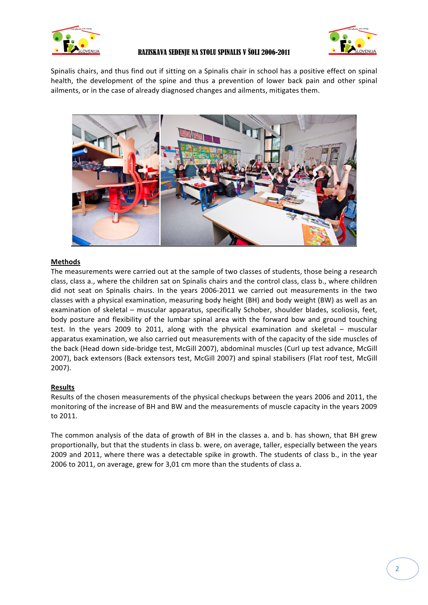



Spinalis chairs, and thus find out if sitting on a Spinalis chair in school has a positive effect on spinal health, the development of the spine and thus a prevention of lower back pain and other spinal ailments, or in the case of already diagnosed changes and ailments, mitigates them.



## **Methods**

The measurements were carried out at the sample of two classes of students, those being a research class, class a., where the children sat on Spinalis chairs and the control class, class b., where children did not seat on Spinalis chairs. In the years 2006-2011 we carried out measurements in the two classes with a physical examination, measuring body height (BH) and body weight (BW) as well as an examination of skeletal – muscular apparatus, specifically Schober, shoulder blades, scoliosis, feet, body posture and flexibility of the lumbar spinal area with the forward bow and ground touching test. In the years 2009 to 2011, along with the physical examination and skeletal - muscular apparatus examination, we also carried out measurements with of the capacity of the side muscles of the back (Head down side-bridge test, McGill 2007), abdominal muscles (Curl up test advance, McGill 2007), back extensors (Back extensors test, McGill 2007) and spinal stabilisers (Flat roof test, McGill 2007).

## **Results**

Results of the chosen measurements of the physical checkups between the years 2006 and 2011, the monitoring of the increase of BH and BW and the measurements of muscle capacity in the years 2009 to 2011.

The common analysis of the data of growth of BH in the classes a. and b. has shown, that BH grew proportionally, but that the students in class b. were, on average, taller, especially between the years 2009 and 2011, where there was a detectable spike in growth. The students of class b., in the year 2006 to 2011, on average, grew for 3,01 cm more than the students of class a.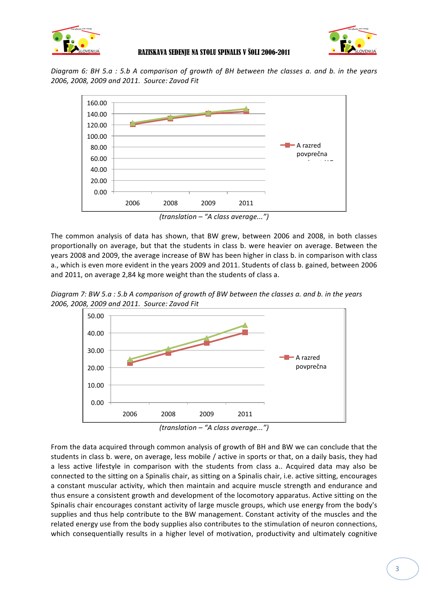



*Diagram* 6: BH 5.a : 5.b A comparison of growth of BH between the classes a. and b. in the years *2006, 2008, 2009 and 2011. Source: Zavod Fit*



*(translation – "A class average...")*

The common analysis of data has shown, that BW grew, between 2006 and 2008, in both classes proportionally on average, but that the students in class b. were heavier on average. Between the years 2008 and 2009, the average increase of BW has been higher in class b. in comparison with class a., which is even more evident in the years 2009 and 2011. Students of class b. gained, between 2006 and 2011, on average 2,84 kg more weight than the students of class a.

*Diagram 7:* BW 5.a : 5.b A comparison of growth of BW between the classes a. and b. in the years *2006, 2008, 2009 and 2011. Source: Zavod Fit*





From the data acquired through common analysis of growth of BH and BW we can conclude that the students in class b. were, on average, less mobile / active in sports or that, on a daily basis, they had a less active lifestyle in comparison with the students from class a.. Acquired data may also be connected to the sitting on a Spinalis chair, as sitting on a Spinalis chair, i.e. active sitting, encourages a constant muscular activity, which then maintain and acquire muscle strength and endurance and thus ensure a consistent growth and development of the locomotory apparatus. Active sitting on the Spinalis chair encourages constant activity of large muscle groups, which use energy from the body's supplies and thus help contribute to the BW management. Constant activity of the muscles and the related energy use from the body supplies also contributes to the stimulation of neuron connections, which consequentially results in a higher level of motivation, productivity and ultimately cognitive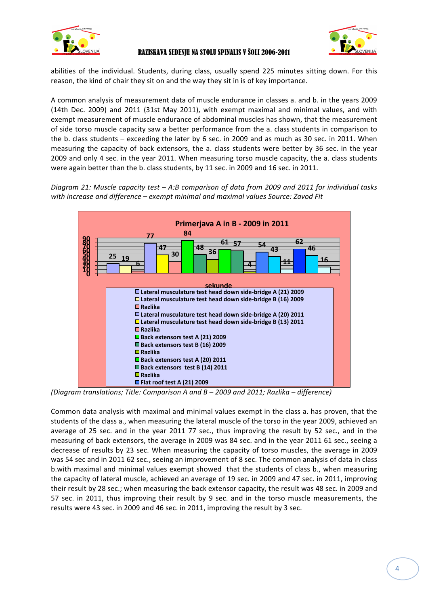



abilities of the individual. Students, during class, usually spend 225 minutes sitting down. For this reason, the kind of chair they sit on and the way they sit in is of key importance.

A common analysis of measurement data of muscle endurance in classes a. and b. in the years 2009 (14th Dec. 2009) and 2011 (31st May 2011), with exempt maximal and minimal values, and with exempt measurement of muscle endurance of abdominal muscles has shown, that the measurement of side torso muscle capacity saw a better performance from the a. class students in comparison to the b. class students  $-$  exceeding the later by 6 sec. in 2009 and as much as 30 sec. in 2011. When measuring the capacity of back extensors, the a. class students were better by 36 sec. in the year 2009 and only 4 sec. in the year 2011. When measuring torso muscle capacity, the a. class students were again better than the b. class students, by 11 sec. in 2009 and 16 sec. in 2011.

*Diagram 21:* Muscle capacity test – A:B comparison of data from 2009 and 2011 for individual tasks *with increase and difference – exempt minimal and maximal values Source: Zavod Fit* 



*(Diagram translations; Title: Comparison A and B – 2009 and 2011; Razlika – difference)*

Common data analysis with maximal and minimal values exempt in the class a. has proven, that the students of the class a., when measuring the lateral muscle of the torso in the year 2009, achieved an average of 25 sec. and in the year 2011 77 sec., thus improving the result by 52 sec., and in the measuring of back extensors, the average in 2009 was 84 sec. and in the year 2011 61 sec., seeing a decrease of results by 23 sec. When measuring the capacity of torso muscles, the average in 2009 was 54 sec and in 2011 62 sec., seeing an improvement of 8 sec. The common analysis of data in class b.with maximal and minimal values exempt showed that the students of class b., when measuring the capacity of lateral muscle, achieved an average of 19 sec. in 2009 and 47 sec. in 2011, improving their result by 28 sec.; when measuring the back extensor capacity, the result was 48 sec. in 2009 and 57 sec. in 2011, thus improving their result by 9 sec. and in the torso muscle measurements, the results were 43 sec. in 2009 and 46 sec. in 2011, improving the result by 3 sec.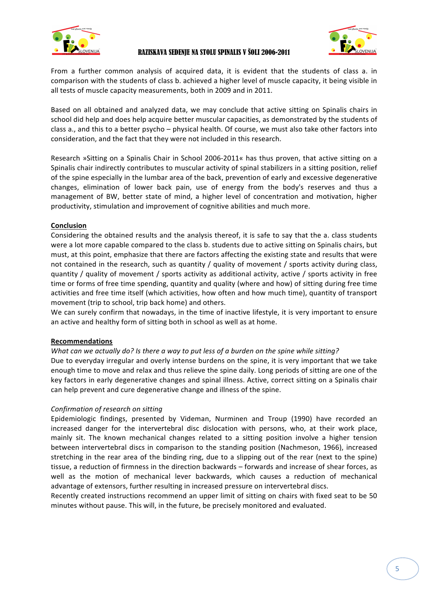



From a further common analysis of acquired data, it is evident that the students of class a. in comparison with the students of class b. achieved a higher level of muscle capacity, it being visible in all tests of muscle capacity measurements, both in 2009 and in 2011.

Based on all obtained and analyzed data, we may conclude that active sitting on Spinalis chairs in school did help and does help acquire better muscular capacities, as demonstrated by the students of class a., and this to a better psycho – physical health. Of course, we must also take other factors into consideration, and the fact that they were not included in this research.

Research »Sitting on a Spinalis Chair in School 2006-2011« has thus proven, that active sitting on a Spinalis chair indirectly contributes to muscular activity of spinal stabilizers in a sitting position, relief of the spine especially in the lumbar area of the back, prevention of early and excessive degenerative changes, elimination of lower back pain, use of energy from the body's reserves and thus a management of BW, better state of mind, a higher level of concentration and motivation, higher productivity, stimulation and improvement of cognitive abilities and much more.

## **Conclusion**

Considering the obtained results and the analysis thereof, it is safe to say that the a. class students were a lot more capable compared to the class b. students due to active sitting on Spinalis chairs, but must, at this point, emphasize that there are factors affecting the existing state and results that were not contained in the research, such as quantity / quality of movement / sports activity during class, quantity / quality of movement / sports activity as additional activity, active / sports activity in free time or forms of free time spending, quantity and quality (where and how) of sitting during free time activities and free time itself (which activities, how often and how much time), quantity of transport movement (trip to school, trip back home) and others.

We can surely confirm that nowadays, in the time of inactive lifestyle, it is very important to ensure an active and healthy form of sitting both in school as well as at home.

## **Recommendations**

## *What can we actually do? Is there a way to put less of a burden on the spine while sitting?*

Due to everyday irregular and overly intense burdens on the spine, it is very important that we take enough time to move and relax and thus relieve the spine daily. Long periods of sitting are one of the key factors in early degenerative changes and spinal illness. Active, correct sitting on a Spinalis chair can help prevent and cure degenerative change and illness of the spine.

## *Confirmation of research on sitting*

Epidemiologic findings, presented by Videman, Nurminen and Troup (1990) have recorded an increased danger for the intervertebral disc dislocation with persons, who, at their work place, mainly sit. The known mechanical changes related to a sitting position involve a higher tension between intervertebral discs in comparison to the standing position (Nachmeson, 1966), increased stretching in the rear area of the binding ring, due to a slipping out of the rear (next to the spine) tissue, a reduction of firmness in the direction backwards – forwards and increase of shear forces, as well as the motion of mechanical lever backwards, which causes a reduction of mechanical advantage of extensors, further resulting in increased pressure on intervertebral discs.

Recently created instructions recommend an upper limit of sitting on chairs with fixed seat to be 50 minutes without pause. This will, in the future, be precisely monitored and evaluated.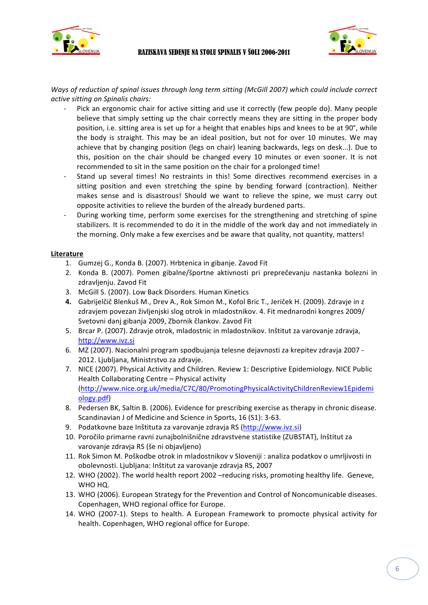



Ways of reduction of spinal issues through long term sitting (McGill 2007) which could include correct *active sitting on Spinalis chairs:*

- Pick an ergonomic chair for active sitting and use it correctly (few people do). Many people believe that simply setting up the chair correctly means they are sitting in the proper body position, i.e. sitting area is set up for a height that enables hips and knees to be at 90°, while the body is straight. This may be an ideal position, but not for over 10 minutes. We may achieve that by changing position (legs on chair) leaning backwards, legs on desk...). Due to this, position on the chair should be changed every 10 minutes or even sooner. It is not recommended to sit in the same position on the chair for a prolonged time!
- Stand up several times! No restraints in this! Some directives recommend exercises in a sitting position and even stretching the spine by bending forward (contraction). Neither makes sense and is disastrous! Should we want to relieve the spine, we must carry out opposite activities to relieve the burden of the already burdened parts.
- During working time, perform some exercises for the strengthening and stretching of spine stabilizers. It is recommended to do it in the middle of the work day and not immediately in the morning. Only make a few exercises and be aware that quality, not quantity, matters!

## **Literature**

- 1. Gumzej G., Konda B. (2007). Hrbtenica in gibanje. Zavod Fit
- 2. Konda B. (2007). Pomen gibalne/športne aktivnosti pri preprečevanju nastanka bolezni in zdravljenju. Zavod Fit
- 3. McGill S. (2007). Low Back Disorders. Human Kinetics
- **4.** Gabrijelčič Blenkuš M., Drev A., Rok Simon M., Kofol Bric T., Jeriček H. (2009). Zdravje in z zdravjem povezan življenjski slog otrok in mladostnikov. 4. Fit mednarodni kongres 2009/ Svetovni danj gibanja 2009, Zbornik člankov. Zavod Fit
- 5. Brcar P. (2007). Zdravje otrok, mladostnic in mladostnikov. Inštitut za varovanje zdravja, http://www.ivz.si
- 6. MZ (2007). Nacionalni program spodbujanja telesne dejavnosti za krepitev zdravja 2007 -2012. Ljubljana, Ministrstvo za zdravje.
- 7. NICE (2007). Physical Activity and Children. Review 1: Descriptive Epidemiology. NICE Public Health Collaborating Centre - Physical activity (http://www.nice.org.uk/media/C7C/80/PromotingPhysicalActivityChildrenReview1Epidemi ology.pdf)
- 8. Pedersen BK, Saltin B. (2006). Evidence for prescribing exercise as therapy in chronic disease. Scandinavian J of Medicine and Science in Sports, 16 (S1): 3-63.
- 9. Podatkovne baze Inštituta za varovanje zdravja RS (http://www.ivz.si)
- 10. Poročilo primarne ravni zunajbolnišnične zdravstvene statistike (ZUBSTAT), Inštitut za varovanje zdravja RS (še ni objavljeno)
- 11. Rok Simon M. Poškodbe otrok in mladostnikov v Sloveniji : analiza podatkov o umrljivosti in obolevnosti. Ljubljana: Inštitut za varovanje zdravja RS, 2007
- 12. WHO (2002). The world health report 2002 -reducing risks, promoting healthy life. Geneve, WHO HQ.
- 13. WHO (2006). European Strategy for the Prevention and Control of Noncomunicable diseases. Copenhagen, WHO regional office for Europe.
- 14. WHO (2007-1). Steps to health. A European Framework to promocte physical activity for health. Copenhagen, WHO regional office for Europe.